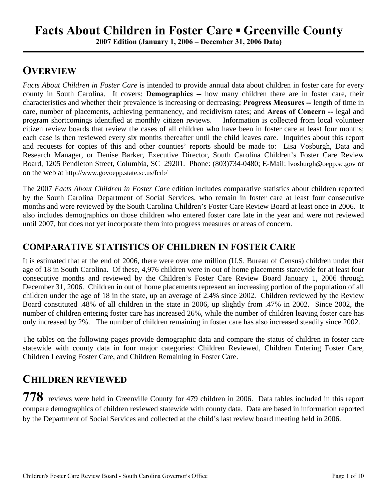**2007 Edition (January 1, 2006 – December 31, 2006 Data)**

## **OVERVIEW**

*Facts About Children in Foster Care* is intended to provide annual data about children in foster care for every county in South Carolina. It covers: **Demographics --** how many children there are in foster care, their characteristics and whether their prevalence is increasing or decreasing; **Progress Measures --** length of time in care, number of placements, achieving permanency, and recidivism rates; and **Areas of Concern --** legal and program shortcomings identified at monthly citizen reviews. Information is collected from local volunteer citizen review boards that review the cases of all children who have been in foster care at least four months; each case is then reviewed every six months thereafter until the child leaves care. Inquiries about this report and requests for copies of this and other counties' reports should be made to: Lisa Vosburgh, Data and Research Manager, or Denise Barker, Executive Director, South Carolina Children's Foster Care Review Board, 1205 Pendleton Street, Columbia, SC 29201. Phone: (803)734-0480; E-Mail: lvosburgh@oepp.sc.gov or on the web at http://www.govoepp.state.sc.us/fcrb/

The 2007 *Facts About Children in Foster Care* edition includes comparative statistics about children reported by the South Carolina Department of Social Services, who remain in foster care at least four consecutive months and were reviewed by the South Carolina Children's Foster Care Review Board at least once in 2006. It also includes demographics on those children who entered foster care late in the year and were not reviewed until 2007, but does not yet incorporate them into progress measures or areas of concern.

#### **COMPARATIVE STATISTICS OF CHILDREN IN FOSTER CARE**

It is estimated that at the end of 2006, there were over one million (U.S. Bureau of Census) children under that age of 18 in South Carolina. Of these, 4,976 children were in out of home placements statewide for at least four consecutive months and reviewed by the Children's Foster Care Review Board January 1, 2006 through December 31, 2006. Children in out of home placements represent an increasing portion of the population of all children under the age of 18 in the state, up an average of 2.4% since 2002. Children reviewed by the Review Board constituted .48% of all children in the state in 2006, up slightly from .47% in 2002. Since 2002, the number of children entering foster care has increased 26%, while the number of children leaving foster care has only increased by 2%. The number of children remaining in foster care has also increased steadily since 2002.

The tables on the following pages provide demographic data and compare the status of children in foster care statewide with county data in four major categories: Children Reviewed, Children Entering Foster Care, Children Leaving Foster Care, and Children Remaining in Foster Care.

### **CHILDREN REVIEWED**

**778** reviews were held in Greenville County for 479 children in 2006. Data tables included in this report compare demographics of children reviewed statewide with county data. Data are based in information reported by the Department of Social Services and collected at the child's last review board meeting held in 2006.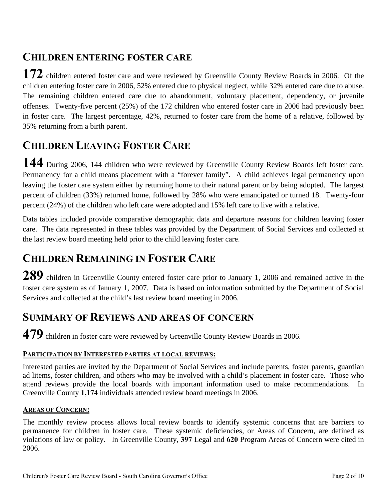### **CHILDREN ENTERING FOSTER CARE**

**172** children entered foster care and were reviewed by Greenville County Review Boards in 2006. Of the children entering foster care in 2006, 52% entered due to physical neglect, while 32% entered care due to abuse. The remaining children entered care due to abandonment, voluntary placement, dependency, or juvenile offenses. Twenty-five percent (25%) of the 172 children who entered foster care in 2006 had previously been in foster care. The largest percentage, 42%, returned to foster care from the home of a relative, followed by 35% returning from a birth parent.

## **CHILDREN LEAVING FOSTER CARE**

**144** During 2006, 144 children who were reviewed by Greenville County Review Boards left foster care. Permanency for a child means placement with a "forever family". A child achieves legal permanency upon leaving the foster care system either by returning home to their natural parent or by being adopted. The largest percent of children (33%) returned home, followed by 28% who were emancipated or turned 18. Twenty-four percent (24%) of the children who left care were adopted and 15% left care to live with a relative.

Data tables included provide comparative demographic data and departure reasons for children leaving foster care. The data represented in these tables was provided by the Department of Social Services and collected at the last review board meeting held prior to the child leaving foster care.

## **CHILDREN REMAINING IN FOSTER CARE**

**289** children in Greenville County entered foster care prior to January 1, 2006 and remained active in the foster care system as of January 1, 2007. Data is based on information submitted by the Department of Social Services and collected at the child's last review board meeting in 2006.

#### **SUMMARY OF REVIEWS AND AREAS OF CONCERN**

**479** children in foster care were reviewed by Greenville County Review Boards in 2006.

#### **PARTICIPATION BY INTERESTED PARTIES AT LOCAL REVIEWS:**

Interested parties are invited by the Department of Social Services and include parents, foster parents, guardian ad litems, foster children, and others who may be involved with a child's placement in foster care. Those who attend reviews provide the local boards with important information used to make recommendations. In Greenville County **1,174** individuals attended review board meetings in 2006.

#### **AREAS OF CONCERN:**

The monthly review process allows local review boards to identify systemic concerns that are barriers to permanence for children in foster care. These systemic deficiencies, or Areas of Concern, are defined as violations of law or policy. In Greenville County, **397** Legal and **620** Program Areas of Concern were cited in 2006.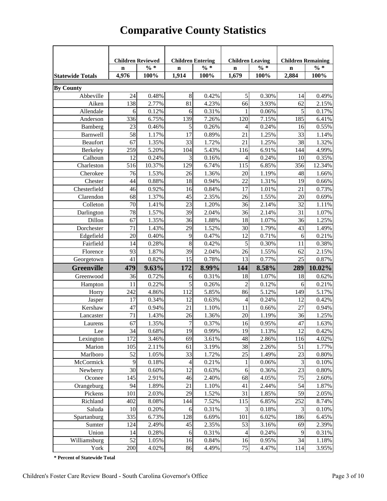| <b>Children Reviewed</b><br><b>Children Entering</b><br><b>Children Leaving</b><br><b>Children Remaining</b><br>$\% *$<br>$\% *$<br>$\% *$<br>$\% *$<br>$\mathbf n$<br>$\mathbf n$<br>$\mathbf n$<br>$\mathbf n$<br>1,914<br>1,679<br>2,884<br>4,976<br>100%<br>100%<br>100%<br>100%<br><b>By County</b><br>Abbeville<br>24<br>0.48%<br>8<br>0.42%<br>5<br>0.30%<br>0.49%<br>14<br>3.93%<br>138<br>2.77%<br>81<br>4.23%<br>66<br>62<br>2.15%<br>Aiken<br>5<br>Allendale<br>6<br>0.12%<br>0.31%<br>6<br>0.06%<br>1<br>0.17%<br>185<br>Anderson<br>336<br>6.75%<br>139<br>7.26%<br>120<br>7.15%<br>6.41%<br>0.46%<br>5<br>0.24%<br>0.55%<br>23<br>0.26%<br>Bamberg<br>4<br>16<br>58<br>1.25%<br>Barnwell<br>1.17%<br>17<br>0.89%<br>21<br>33<br>1.14%<br>Beaufort<br>1.35%<br>33<br>1.72%<br>21<br>1.25%<br>38<br>67<br>1.32%<br>259<br>5.20%<br>104<br>5.43%<br>116<br>6.91%<br>144<br>Berkeley<br>4.99%<br>3<br>Calhoun<br>12<br>0.24%<br>0.16%<br>0.24%<br>0.35%<br>4<br>10<br>129<br>356<br>Charleston<br>516<br>10.37%<br>6.74%<br>115<br>6.85%<br>12.34%<br>Cherokee<br>76<br>1.53%<br>26<br>1.36%<br>20<br>1.19%<br>48<br>1.66%<br>Chester<br>44<br>0.88%<br>18<br>22<br>0.66%<br>0.94%<br>1.31%<br>19<br>Chesterfield<br>46<br>17<br>21<br>0.73%<br>0.92%<br>16<br>0.84%<br>1.01%<br>68<br>45<br>20<br>0.69%<br>Clarendon<br>1.37%<br>2.35%<br>26<br>1.55%<br>23<br>Colleton<br>1.41%<br>1.20%<br>36<br>2.14%<br>32<br>1.11%<br>70<br>1.57%<br>78<br>2.14%<br>1.07%<br>Darlington<br>39<br>2.04%<br>36<br>31<br>Dillon<br>1.25%<br>1.35%<br>36<br>1.88%<br>18<br>1.07%<br>36<br>67<br>Dorchester<br>1.52%<br>71<br>1.43%<br>29<br>30<br>1.79%<br>43<br>1.49%<br>0.40%<br>0.47%<br>0.71%<br>0.21%<br>Edgefield<br>20<br>9<br>12<br>6<br>0.28%<br>0.38%<br>Fairfield<br>14<br>8<br>0.42%<br>5<br>0.30%<br>11<br>93<br>1.87%<br>39<br>2.04%<br>26<br>1.55%<br>62<br>2.15%<br>Florence<br>25<br>41<br>0.82%<br>15<br>0.78%<br>13<br>0.77%<br>0.87%<br>Georgetown<br>289<br>10.02%<br><b>Greenville</b><br>479<br>9.63%<br>172<br>8.99%<br>144<br>8.58%<br>Greenwood<br>36<br>0.72%<br>0.31%<br>18<br>18<br>0.62%<br>6<br>1.07%<br>5<br>$\overline{c}$<br>11<br>0.22%<br>0.26%<br>0.12%<br>0.21%<br>6<br>Hampton<br>242<br>4.86%<br>112<br>5.85%<br>86<br>5.12%<br>149<br>5.17%<br>Horry<br>17<br>0.24%<br>0.34%<br>12<br>0.63%<br>4<br>12<br>0.42%<br>Jasper<br>47<br>21<br>27<br>0.94%<br>Kershaw<br>0.94%<br>1.10%<br>11<br>0.66%<br>71<br>1.43%<br>1.36%<br>20<br>1.19%<br>36<br>1.25%<br>26<br>Lancaster<br>0.95%<br>67<br>1.35%<br>$\overline{7}$<br>0.37%<br>1.63%<br>16<br>47<br>Laurens<br>$34\,$<br>19<br>0.99%<br>1.13%<br>0.42%<br>0.68%<br>19<br>12<br>Lee<br>172<br>69<br>3.61%<br>48<br>2.86%<br>Lexington<br>3.46%<br>116<br>4.02%<br>38<br>105<br>2.11%<br>3.19%<br>2.26%<br>51<br>Marion<br>61<br>1.77%<br>33<br>25<br>23<br>52<br>1.72%<br>1.49%<br>Marlboro<br>1.05%<br>0.80%<br>McCormick<br>9<br>0.18%<br>0.21%<br>0.06%<br>$\mathfrak{Z}$<br>0.10%<br>4<br>1<br>30<br>12<br>$\epsilon$<br>23<br>Newberry<br>0.60%<br>0.63%<br>0.36%<br>0.80%<br>Oconee<br>75<br>145<br>2.91%<br>2.40%<br>68<br>4.05%<br>2.60%<br>46<br>Orangeburg<br>94<br>21<br>41<br>2.44%<br>54<br>1.89%<br>1.10%<br>1.87%<br>29<br>31<br>59<br>Pickens<br>2.03%<br>1.52%<br>1.85%<br>2.05%<br>101<br>252<br>Richland<br>402<br>8.08%<br>144<br>7.52%<br>115<br>6.85%<br>8.74%<br>3<br>3<br>Saluda<br>10<br>6<br>0.20%<br>0.31%<br>0.18%<br>0.10%<br>Spartanburg<br>335<br>128<br>186<br>6.73%<br>6.69%<br>101<br>6.02%<br>6.45%<br>45<br>53<br>2.39%<br>Sumter<br>124<br>2.49%<br>2.35%<br>3.16%<br>69<br>Union<br>14<br>0.28%<br>0.31%<br>0.24%<br>9<br>0.31%<br>6<br>$\overline{\mathcal{A}}$<br>52<br>Williamsburg<br>34<br>16<br>0.84%<br>16<br>0.95%<br>1.18%<br>1.05% |                         |     |       |    |       |    |       |     |       |
|-------------------------------------------------------------------------------------------------------------------------------------------------------------------------------------------------------------------------------------------------------------------------------------------------------------------------------------------------------------------------------------------------------------------------------------------------------------------------------------------------------------------------------------------------------------------------------------------------------------------------------------------------------------------------------------------------------------------------------------------------------------------------------------------------------------------------------------------------------------------------------------------------------------------------------------------------------------------------------------------------------------------------------------------------------------------------------------------------------------------------------------------------------------------------------------------------------------------------------------------------------------------------------------------------------------------------------------------------------------------------------------------------------------------------------------------------------------------------------------------------------------------------------------------------------------------------------------------------------------------------------------------------------------------------------------------------------------------------------------------------------------------------------------------------------------------------------------------------------------------------------------------------------------------------------------------------------------------------------------------------------------------------------------------------------------------------------------------------------------------------------------------------------------------------------------------------------------------------------------------------------------------------------------------------------------------------------------------------------------------------------------------------------------------------------------------------------------------------------------------------------------------------------------------------------------------------------------------------------------------------------------------------------------------------------------------------------------------------------------------------------------------------------------------------------------------------------------------------------------------------------------------------------------------------------------------------------------------------------------------------------------------------------------------------------------------------------------------------------------------------------------------------------------------------------------------------------------------------------------------------------------------------------------------------------------------------------------------------------------------------------------------------------------------------------------------------------------------------------------------------------------------------------------------------------------------------------------------------------------------------------------------------------------------------------------------------------------------------------------------------------------------------|-------------------------|-----|-------|----|-------|----|-------|-----|-------|
|                                                                                                                                                                                                                                                                                                                                                                                                                                                                                                                                                                                                                                                                                                                                                                                                                                                                                                                                                                                                                                                                                                                                                                                                                                                                                                                                                                                                                                                                                                                                                                                                                                                                                                                                                                                                                                                                                                                                                                                                                                                                                                                                                                                                                                                                                                                                                                                                                                                                                                                                                                                                                                                                                                                                                                                                                                                                                                                                                                                                                                                                                                                                                                                                                                                                                                                                                                                                                                                                                                                                                                                                                                                                                                                                                                         |                         |     |       |    |       |    |       |     |       |
|                                                                                                                                                                                                                                                                                                                                                                                                                                                                                                                                                                                                                                                                                                                                                                                                                                                                                                                                                                                                                                                                                                                                                                                                                                                                                                                                                                                                                                                                                                                                                                                                                                                                                                                                                                                                                                                                                                                                                                                                                                                                                                                                                                                                                                                                                                                                                                                                                                                                                                                                                                                                                                                                                                                                                                                                                                                                                                                                                                                                                                                                                                                                                                                                                                                                                                                                                                                                                                                                                                                                                                                                                                                                                                                                                                         |                         |     |       |    |       |    |       |     |       |
|                                                                                                                                                                                                                                                                                                                                                                                                                                                                                                                                                                                                                                                                                                                                                                                                                                                                                                                                                                                                                                                                                                                                                                                                                                                                                                                                                                                                                                                                                                                                                                                                                                                                                                                                                                                                                                                                                                                                                                                                                                                                                                                                                                                                                                                                                                                                                                                                                                                                                                                                                                                                                                                                                                                                                                                                                                                                                                                                                                                                                                                                                                                                                                                                                                                                                                                                                                                                                                                                                                                                                                                                                                                                                                                                                                         | <b>Statewide Totals</b> |     |       |    |       |    |       |     |       |
|                                                                                                                                                                                                                                                                                                                                                                                                                                                                                                                                                                                                                                                                                                                                                                                                                                                                                                                                                                                                                                                                                                                                                                                                                                                                                                                                                                                                                                                                                                                                                                                                                                                                                                                                                                                                                                                                                                                                                                                                                                                                                                                                                                                                                                                                                                                                                                                                                                                                                                                                                                                                                                                                                                                                                                                                                                                                                                                                                                                                                                                                                                                                                                                                                                                                                                                                                                                                                                                                                                                                                                                                                                                                                                                                                                         |                         |     |       |    |       |    |       |     |       |
|                                                                                                                                                                                                                                                                                                                                                                                                                                                                                                                                                                                                                                                                                                                                                                                                                                                                                                                                                                                                                                                                                                                                                                                                                                                                                                                                                                                                                                                                                                                                                                                                                                                                                                                                                                                                                                                                                                                                                                                                                                                                                                                                                                                                                                                                                                                                                                                                                                                                                                                                                                                                                                                                                                                                                                                                                                                                                                                                                                                                                                                                                                                                                                                                                                                                                                                                                                                                                                                                                                                                                                                                                                                                                                                                                                         |                         |     |       |    |       |    |       |     |       |
|                                                                                                                                                                                                                                                                                                                                                                                                                                                                                                                                                                                                                                                                                                                                                                                                                                                                                                                                                                                                                                                                                                                                                                                                                                                                                                                                                                                                                                                                                                                                                                                                                                                                                                                                                                                                                                                                                                                                                                                                                                                                                                                                                                                                                                                                                                                                                                                                                                                                                                                                                                                                                                                                                                                                                                                                                                                                                                                                                                                                                                                                                                                                                                                                                                                                                                                                                                                                                                                                                                                                                                                                                                                                                                                                                                         |                         |     |       |    |       |    |       |     |       |
|                                                                                                                                                                                                                                                                                                                                                                                                                                                                                                                                                                                                                                                                                                                                                                                                                                                                                                                                                                                                                                                                                                                                                                                                                                                                                                                                                                                                                                                                                                                                                                                                                                                                                                                                                                                                                                                                                                                                                                                                                                                                                                                                                                                                                                                                                                                                                                                                                                                                                                                                                                                                                                                                                                                                                                                                                                                                                                                                                                                                                                                                                                                                                                                                                                                                                                                                                                                                                                                                                                                                                                                                                                                                                                                                                                         |                         |     |       |    |       |    |       |     |       |
|                                                                                                                                                                                                                                                                                                                                                                                                                                                                                                                                                                                                                                                                                                                                                                                                                                                                                                                                                                                                                                                                                                                                                                                                                                                                                                                                                                                                                                                                                                                                                                                                                                                                                                                                                                                                                                                                                                                                                                                                                                                                                                                                                                                                                                                                                                                                                                                                                                                                                                                                                                                                                                                                                                                                                                                                                                                                                                                                                                                                                                                                                                                                                                                                                                                                                                                                                                                                                                                                                                                                                                                                                                                                                                                                                                         |                         |     |       |    |       |    |       |     |       |
|                                                                                                                                                                                                                                                                                                                                                                                                                                                                                                                                                                                                                                                                                                                                                                                                                                                                                                                                                                                                                                                                                                                                                                                                                                                                                                                                                                                                                                                                                                                                                                                                                                                                                                                                                                                                                                                                                                                                                                                                                                                                                                                                                                                                                                                                                                                                                                                                                                                                                                                                                                                                                                                                                                                                                                                                                                                                                                                                                                                                                                                                                                                                                                                                                                                                                                                                                                                                                                                                                                                                                                                                                                                                                                                                                                         |                         |     |       |    |       |    |       |     |       |
|                                                                                                                                                                                                                                                                                                                                                                                                                                                                                                                                                                                                                                                                                                                                                                                                                                                                                                                                                                                                                                                                                                                                                                                                                                                                                                                                                                                                                                                                                                                                                                                                                                                                                                                                                                                                                                                                                                                                                                                                                                                                                                                                                                                                                                                                                                                                                                                                                                                                                                                                                                                                                                                                                                                                                                                                                                                                                                                                                                                                                                                                                                                                                                                                                                                                                                                                                                                                                                                                                                                                                                                                                                                                                                                                                                         |                         |     |       |    |       |    |       |     |       |
|                                                                                                                                                                                                                                                                                                                                                                                                                                                                                                                                                                                                                                                                                                                                                                                                                                                                                                                                                                                                                                                                                                                                                                                                                                                                                                                                                                                                                                                                                                                                                                                                                                                                                                                                                                                                                                                                                                                                                                                                                                                                                                                                                                                                                                                                                                                                                                                                                                                                                                                                                                                                                                                                                                                                                                                                                                                                                                                                                                                                                                                                                                                                                                                                                                                                                                                                                                                                                                                                                                                                                                                                                                                                                                                                                                         |                         |     |       |    |       |    |       |     |       |
|                                                                                                                                                                                                                                                                                                                                                                                                                                                                                                                                                                                                                                                                                                                                                                                                                                                                                                                                                                                                                                                                                                                                                                                                                                                                                                                                                                                                                                                                                                                                                                                                                                                                                                                                                                                                                                                                                                                                                                                                                                                                                                                                                                                                                                                                                                                                                                                                                                                                                                                                                                                                                                                                                                                                                                                                                                                                                                                                                                                                                                                                                                                                                                                                                                                                                                                                                                                                                                                                                                                                                                                                                                                                                                                                                                         |                         |     |       |    |       |    |       |     |       |
|                                                                                                                                                                                                                                                                                                                                                                                                                                                                                                                                                                                                                                                                                                                                                                                                                                                                                                                                                                                                                                                                                                                                                                                                                                                                                                                                                                                                                                                                                                                                                                                                                                                                                                                                                                                                                                                                                                                                                                                                                                                                                                                                                                                                                                                                                                                                                                                                                                                                                                                                                                                                                                                                                                                                                                                                                                                                                                                                                                                                                                                                                                                                                                                                                                                                                                                                                                                                                                                                                                                                                                                                                                                                                                                                                                         |                         |     |       |    |       |    |       |     |       |
|                                                                                                                                                                                                                                                                                                                                                                                                                                                                                                                                                                                                                                                                                                                                                                                                                                                                                                                                                                                                                                                                                                                                                                                                                                                                                                                                                                                                                                                                                                                                                                                                                                                                                                                                                                                                                                                                                                                                                                                                                                                                                                                                                                                                                                                                                                                                                                                                                                                                                                                                                                                                                                                                                                                                                                                                                                                                                                                                                                                                                                                                                                                                                                                                                                                                                                                                                                                                                                                                                                                                                                                                                                                                                                                                                                         |                         |     |       |    |       |    |       |     |       |
|                                                                                                                                                                                                                                                                                                                                                                                                                                                                                                                                                                                                                                                                                                                                                                                                                                                                                                                                                                                                                                                                                                                                                                                                                                                                                                                                                                                                                                                                                                                                                                                                                                                                                                                                                                                                                                                                                                                                                                                                                                                                                                                                                                                                                                                                                                                                                                                                                                                                                                                                                                                                                                                                                                                                                                                                                                                                                                                                                                                                                                                                                                                                                                                                                                                                                                                                                                                                                                                                                                                                                                                                                                                                                                                                                                         |                         |     |       |    |       |    |       |     |       |
|                                                                                                                                                                                                                                                                                                                                                                                                                                                                                                                                                                                                                                                                                                                                                                                                                                                                                                                                                                                                                                                                                                                                                                                                                                                                                                                                                                                                                                                                                                                                                                                                                                                                                                                                                                                                                                                                                                                                                                                                                                                                                                                                                                                                                                                                                                                                                                                                                                                                                                                                                                                                                                                                                                                                                                                                                                                                                                                                                                                                                                                                                                                                                                                                                                                                                                                                                                                                                                                                                                                                                                                                                                                                                                                                                                         |                         |     |       |    |       |    |       |     |       |
|                                                                                                                                                                                                                                                                                                                                                                                                                                                                                                                                                                                                                                                                                                                                                                                                                                                                                                                                                                                                                                                                                                                                                                                                                                                                                                                                                                                                                                                                                                                                                                                                                                                                                                                                                                                                                                                                                                                                                                                                                                                                                                                                                                                                                                                                                                                                                                                                                                                                                                                                                                                                                                                                                                                                                                                                                                                                                                                                                                                                                                                                                                                                                                                                                                                                                                                                                                                                                                                                                                                                                                                                                                                                                                                                                                         |                         |     |       |    |       |    |       |     |       |
|                                                                                                                                                                                                                                                                                                                                                                                                                                                                                                                                                                                                                                                                                                                                                                                                                                                                                                                                                                                                                                                                                                                                                                                                                                                                                                                                                                                                                                                                                                                                                                                                                                                                                                                                                                                                                                                                                                                                                                                                                                                                                                                                                                                                                                                                                                                                                                                                                                                                                                                                                                                                                                                                                                                                                                                                                                                                                                                                                                                                                                                                                                                                                                                                                                                                                                                                                                                                                                                                                                                                                                                                                                                                                                                                                                         |                         |     |       |    |       |    |       |     |       |
|                                                                                                                                                                                                                                                                                                                                                                                                                                                                                                                                                                                                                                                                                                                                                                                                                                                                                                                                                                                                                                                                                                                                                                                                                                                                                                                                                                                                                                                                                                                                                                                                                                                                                                                                                                                                                                                                                                                                                                                                                                                                                                                                                                                                                                                                                                                                                                                                                                                                                                                                                                                                                                                                                                                                                                                                                                                                                                                                                                                                                                                                                                                                                                                                                                                                                                                                                                                                                                                                                                                                                                                                                                                                                                                                                                         |                         |     |       |    |       |    |       |     |       |
|                                                                                                                                                                                                                                                                                                                                                                                                                                                                                                                                                                                                                                                                                                                                                                                                                                                                                                                                                                                                                                                                                                                                                                                                                                                                                                                                                                                                                                                                                                                                                                                                                                                                                                                                                                                                                                                                                                                                                                                                                                                                                                                                                                                                                                                                                                                                                                                                                                                                                                                                                                                                                                                                                                                                                                                                                                                                                                                                                                                                                                                                                                                                                                                                                                                                                                                                                                                                                                                                                                                                                                                                                                                                                                                                                                         |                         |     |       |    |       |    |       |     |       |
|                                                                                                                                                                                                                                                                                                                                                                                                                                                                                                                                                                                                                                                                                                                                                                                                                                                                                                                                                                                                                                                                                                                                                                                                                                                                                                                                                                                                                                                                                                                                                                                                                                                                                                                                                                                                                                                                                                                                                                                                                                                                                                                                                                                                                                                                                                                                                                                                                                                                                                                                                                                                                                                                                                                                                                                                                                                                                                                                                                                                                                                                                                                                                                                                                                                                                                                                                                                                                                                                                                                                                                                                                                                                                                                                                                         |                         |     |       |    |       |    |       |     |       |
|                                                                                                                                                                                                                                                                                                                                                                                                                                                                                                                                                                                                                                                                                                                                                                                                                                                                                                                                                                                                                                                                                                                                                                                                                                                                                                                                                                                                                                                                                                                                                                                                                                                                                                                                                                                                                                                                                                                                                                                                                                                                                                                                                                                                                                                                                                                                                                                                                                                                                                                                                                                                                                                                                                                                                                                                                                                                                                                                                                                                                                                                                                                                                                                                                                                                                                                                                                                                                                                                                                                                                                                                                                                                                                                                                                         |                         |     |       |    |       |    |       |     |       |
|                                                                                                                                                                                                                                                                                                                                                                                                                                                                                                                                                                                                                                                                                                                                                                                                                                                                                                                                                                                                                                                                                                                                                                                                                                                                                                                                                                                                                                                                                                                                                                                                                                                                                                                                                                                                                                                                                                                                                                                                                                                                                                                                                                                                                                                                                                                                                                                                                                                                                                                                                                                                                                                                                                                                                                                                                                                                                                                                                                                                                                                                                                                                                                                                                                                                                                                                                                                                                                                                                                                                                                                                                                                                                                                                                                         |                         |     |       |    |       |    |       |     |       |
|                                                                                                                                                                                                                                                                                                                                                                                                                                                                                                                                                                                                                                                                                                                                                                                                                                                                                                                                                                                                                                                                                                                                                                                                                                                                                                                                                                                                                                                                                                                                                                                                                                                                                                                                                                                                                                                                                                                                                                                                                                                                                                                                                                                                                                                                                                                                                                                                                                                                                                                                                                                                                                                                                                                                                                                                                                                                                                                                                                                                                                                                                                                                                                                                                                                                                                                                                                                                                                                                                                                                                                                                                                                                                                                                                                         |                         |     |       |    |       |    |       |     |       |
|                                                                                                                                                                                                                                                                                                                                                                                                                                                                                                                                                                                                                                                                                                                                                                                                                                                                                                                                                                                                                                                                                                                                                                                                                                                                                                                                                                                                                                                                                                                                                                                                                                                                                                                                                                                                                                                                                                                                                                                                                                                                                                                                                                                                                                                                                                                                                                                                                                                                                                                                                                                                                                                                                                                                                                                                                                                                                                                                                                                                                                                                                                                                                                                                                                                                                                                                                                                                                                                                                                                                                                                                                                                                                                                                                                         |                         |     |       |    |       |    |       |     |       |
|                                                                                                                                                                                                                                                                                                                                                                                                                                                                                                                                                                                                                                                                                                                                                                                                                                                                                                                                                                                                                                                                                                                                                                                                                                                                                                                                                                                                                                                                                                                                                                                                                                                                                                                                                                                                                                                                                                                                                                                                                                                                                                                                                                                                                                                                                                                                                                                                                                                                                                                                                                                                                                                                                                                                                                                                                                                                                                                                                                                                                                                                                                                                                                                                                                                                                                                                                                                                                                                                                                                                                                                                                                                                                                                                                                         |                         |     |       |    |       |    |       |     |       |
|                                                                                                                                                                                                                                                                                                                                                                                                                                                                                                                                                                                                                                                                                                                                                                                                                                                                                                                                                                                                                                                                                                                                                                                                                                                                                                                                                                                                                                                                                                                                                                                                                                                                                                                                                                                                                                                                                                                                                                                                                                                                                                                                                                                                                                                                                                                                                                                                                                                                                                                                                                                                                                                                                                                                                                                                                                                                                                                                                                                                                                                                                                                                                                                                                                                                                                                                                                                                                                                                                                                                                                                                                                                                                                                                                                         |                         |     |       |    |       |    |       |     |       |
|                                                                                                                                                                                                                                                                                                                                                                                                                                                                                                                                                                                                                                                                                                                                                                                                                                                                                                                                                                                                                                                                                                                                                                                                                                                                                                                                                                                                                                                                                                                                                                                                                                                                                                                                                                                                                                                                                                                                                                                                                                                                                                                                                                                                                                                                                                                                                                                                                                                                                                                                                                                                                                                                                                                                                                                                                                                                                                                                                                                                                                                                                                                                                                                                                                                                                                                                                                                                                                                                                                                                                                                                                                                                                                                                                                         |                         |     |       |    |       |    |       |     |       |
|                                                                                                                                                                                                                                                                                                                                                                                                                                                                                                                                                                                                                                                                                                                                                                                                                                                                                                                                                                                                                                                                                                                                                                                                                                                                                                                                                                                                                                                                                                                                                                                                                                                                                                                                                                                                                                                                                                                                                                                                                                                                                                                                                                                                                                                                                                                                                                                                                                                                                                                                                                                                                                                                                                                                                                                                                                                                                                                                                                                                                                                                                                                                                                                                                                                                                                                                                                                                                                                                                                                                                                                                                                                                                                                                                                         |                         |     |       |    |       |    |       |     |       |
|                                                                                                                                                                                                                                                                                                                                                                                                                                                                                                                                                                                                                                                                                                                                                                                                                                                                                                                                                                                                                                                                                                                                                                                                                                                                                                                                                                                                                                                                                                                                                                                                                                                                                                                                                                                                                                                                                                                                                                                                                                                                                                                                                                                                                                                                                                                                                                                                                                                                                                                                                                                                                                                                                                                                                                                                                                                                                                                                                                                                                                                                                                                                                                                                                                                                                                                                                                                                                                                                                                                                                                                                                                                                                                                                                                         |                         |     |       |    |       |    |       |     |       |
|                                                                                                                                                                                                                                                                                                                                                                                                                                                                                                                                                                                                                                                                                                                                                                                                                                                                                                                                                                                                                                                                                                                                                                                                                                                                                                                                                                                                                                                                                                                                                                                                                                                                                                                                                                                                                                                                                                                                                                                                                                                                                                                                                                                                                                                                                                                                                                                                                                                                                                                                                                                                                                                                                                                                                                                                                                                                                                                                                                                                                                                                                                                                                                                                                                                                                                                                                                                                                                                                                                                                                                                                                                                                                                                                                                         |                         |     |       |    |       |    |       |     |       |
|                                                                                                                                                                                                                                                                                                                                                                                                                                                                                                                                                                                                                                                                                                                                                                                                                                                                                                                                                                                                                                                                                                                                                                                                                                                                                                                                                                                                                                                                                                                                                                                                                                                                                                                                                                                                                                                                                                                                                                                                                                                                                                                                                                                                                                                                                                                                                                                                                                                                                                                                                                                                                                                                                                                                                                                                                                                                                                                                                                                                                                                                                                                                                                                                                                                                                                                                                                                                                                                                                                                                                                                                                                                                                                                                                                         |                         |     |       |    |       |    |       |     |       |
|                                                                                                                                                                                                                                                                                                                                                                                                                                                                                                                                                                                                                                                                                                                                                                                                                                                                                                                                                                                                                                                                                                                                                                                                                                                                                                                                                                                                                                                                                                                                                                                                                                                                                                                                                                                                                                                                                                                                                                                                                                                                                                                                                                                                                                                                                                                                                                                                                                                                                                                                                                                                                                                                                                                                                                                                                                                                                                                                                                                                                                                                                                                                                                                                                                                                                                                                                                                                                                                                                                                                                                                                                                                                                                                                                                         |                         |     |       |    |       |    |       |     |       |
|                                                                                                                                                                                                                                                                                                                                                                                                                                                                                                                                                                                                                                                                                                                                                                                                                                                                                                                                                                                                                                                                                                                                                                                                                                                                                                                                                                                                                                                                                                                                                                                                                                                                                                                                                                                                                                                                                                                                                                                                                                                                                                                                                                                                                                                                                                                                                                                                                                                                                                                                                                                                                                                                                                                                                                                                                                                                                                                                                                                                                                                                                                                                                                                                                                                                                                                                                                                                                                                                                                                                                                                                                                                                                                                                                                         |                         |     |       |    |       |    |       |     |       |
|                                                                                                                                                                                                                                                                                                                                                                                                                                                                                                                                                                                                                                                                                                                                                                                                                                                                                                                                                                                                                                                                                                                                                                                                                                                                                                                                                                                                                                                                                                                                                                                                                                                                                                                                                                                                                                                                                                                                                                                                                                                                                                                                                                                                                                                                                                                                                                                                                                                                                                                                                                                                                                                                                                                                                                                                                                                                                                                                                                                                                                                                                                                                                                                                                                                                                                                                                                                                                                                                                                                                                                                                                                                                                                                                                                         |                         |     |       |    |       |    |       |     |       |
|                                                                                                                                                                                                                                                                                                                                                                                                                                                                                                                                                                                                                                                                                                                                                                                                                                                                                                                                                                                                                                                                                                                                                                                                                                                                                                                                                                                                                                                                                                                                                                                                                                                                                                                                                                                                                                                                                                                                                                                                                                                                                                                                                                                                                                                                                                                                                                                                                                                                                                                                                                                                                                                                                                                                                                                                                                                                                                                                                                                                                                                                                                                                                                                                                                                                                                                                                                                                                                                                                                                                                                                                                                                                                                                                                                         |                         |     |       |    |       |    |       |     |       |
|                                                                                                                                                                                                                                                                                                                                                                                                                                                                                                                                                                                                                                                                                                                                                                                                                                                                                                                                                                                                                                                                                                                                                                                                                                                                                                                                                                                                                                                                                                                                                                                                                                                                                                                                                                                                                                                                                                                                                                                                                                                                                                                                                                                                                                                                                                                                                                                                                                                                                                                                                                                                                                                                                                                                                                                                                                                                                                                                                                                                                                                                                                                                                                                                                                                                                                                                                                                                                                                                                                                                                                                                                                                                                                                                                                         |                         |     |       |    |       |    |       |     |       |
|                                                                                                                                                                                                                                                                                                                                                                                                                                                                                                                                                                                                                                                                                                                                                                                                                                                                                                                                                                                                                                                                                                                                                                                                                                                                                                                                                                                                                                                                                                                                                                                                                                                                                                                                                                                                                                                                                                                                                                                                                                                                                                                                                                                                                                                                                                                                                                                                                                                                                                                                                                                                                                                                                                                                                                                                                                                                                                                                                                                                                                                                                                                                                                                                                                                                                                                                                                                                                                                                                                                                                                                                                                                                                                                                                                         |                         |     |       |    |       |    |       |     |       |
|                                                                                                                                                                                                                                                                                                                                                                                                                                                                                                                                                                                                                                                                                                                                                                                                                                                                                                                                                                                                                                                                                                                                                                                                                                                                                                                                                                                                                                                                                                                                                                                                                                                                                                                                                                                                                                                                                                                                                                                                                                                                                                                                                                                                                                                                                                                                                                                                                                                                                                                                                                                                                                                                                                                                                                                                                                                                                                                                                                                                                                                                                                                                                                                                                                                                                                                                                                                                                                                                                                                                                                                                                                                                                                                                                                         |                         |     |       |    |       |    |       |     |       |
|                                                                                                                                                                                                                                                                                                                                                                                                                                                                                                                                                                                                                                                                                                                                                                                                                                                                                                                                                                                                                                                                                                                                                                                                                                                                                                                                                                                                                                                                                                                                                                                                                                                                                                                                                                                                                                                                                                                                                                                                                                                                                                                                                                                                                                                                                                                                                                                                                                                                                                                                                                                                                                                                                                                                                                                                                                                                                                                                                                                                                                                                                                                                                                                                                                                                                                                                                                                                                                                                                                                                                                                                                                                                                                                                                                         |                         |     |       |    |       |    |       |     |       |
|                                                                                                                                                                                                                                                                                                                                                                                                                                                                                                                                                                                                                                                                                                                                                                                                                                                                                                                                                                                                                                                                                                                                                                                                                                                                                                                                                                                                                                                                                                                                                                                                                                                                                                                                                                                                                                                                                                                                                                                                                                                                                                                                                                                                                                                                                                                                                                                                                                                                                                                                                                                                                                                                                                                                                                                                                                                                                                                                                                                                                                                                                                                                                                                                                                                                                                                                                                                                                                                                                                                                                                                                                                                                                                                                                                         |                         |     |       |    |       |    |       |     |       |
|                                                                                                                                                                                                                                                                                                                                                                                                                                                                                                                                                                                                                                                                                                                                                                                                                                                                                                                                                                                                                                                                                                                                                                                                                                                                                                                                                                                                                                                                                                                                                                                                                                                                                                                                                                                                                                                                                                                                                                                                                                                                                                                                                                                                                                                                                                                                                                                                                                                                                                                                                                                                                                                                                                                                                                                                                                                                                                                                                                                                                                                                                                                                                                                                                                                                                                                                                                                                                                                                                                                                                                                                                                                                                                                                                                         |                         |     |       |    |       |    |       |     |       |
|                                                                                                                                                                                                                                                                                                                                                                                                                                                                                                                                                                                                                                                                                                                                                                                                                                                                                                                                                                                                                                                                                                                                                                                                                                                                                                                                                                                                                                                                                                                                                                                                                                                                                                                                                                                                                                                                                                                                                                                                                                                                                                                                                                                                                                                                                                                                                                                                                                                                                                                                                                                                                                                                                                                                                                                                                                                                                                                                                                                                                                                                                                                                                                                                                                                                                                                                                                                                                                                                                                                                                                                                                                                                                                                                                                         |                         |     |       |    |       |    |       |     |       |
|                                                                                                                                                                                                                                                                                                                                                                                                                                                                                                                                                                                                                                                                                                                                                                                                                                                                                                                                                                                                                                                                                                                                                                                                                                                                                                                                                                                                                                                                                                                                                                                                                                                                                                                                                                                                                                                                                                                                                                                                                                                                                                                                                                                                                                                                                                                                                                                                                                                                                                                                                                                                                                                                                                                                                                                                                                                                                                                                                                                                                                                                                                                                                                                                                                                                                                                                                                                                                                                                                                                                                                                                                                                                                                                                                                         |                         |     |       |    |       |    |       |     |       |
|                                                                                                                                                                                                                                                                                                                                                                                                                                                                                                                                                                                                                                                                                                                                                                                                                                                                                                                                                                                                                                                                                                                                                                                                                                                                                                                                                                                                                                                                                                                                                                                                                                                                                                                                                                                                                                                                                                                                                                                                                                                                                                                                                                                                                                                                                                                                                                                                                                                                                                                                                                                                                                                                                                                                                                                                                                                                                                                                                                                                                                                                                                                                                                                                                                                                                                                                                                                                                                                                                                                                                                                                                                                                                                                                                                         |                         |     |       |    |       |    |       |     |       |
|                                                                                                                                                                                                                                                                                                                                                                                                                                                                                                                                                                                                                                                                                                                                                                                                                                                                                                                                                                                                                                                                                                                                                                                                                                                                                                                                                                                                                                                                                                                                                                                                                                                                                                                                                                                                                                                                                                                                                                                                                                                                                                                                                                                                                                                                                                                                                                                                                                                                                                                                                                                                                                                                                                                                                                                                                                                                                                                                                                                                                                                                                                                                                                                                                                                                                                                                                                                                                                                                                                                                                                                                                                                                                                                                                                         |                         |     |       |    |       |    |       |     |       |
|                                                                                                                                                                                                                                                                                                                                                                                                                                                                                                                                                                                                                                                                                                                                                                                                                                                                                                                                                                                                                                                                                                                                                                                                                                                                                                                                                                                                                                                                                                                                                                                                                                                                                                                                                                                                                                                                                                                                                                                                                                                                                                                                                                                                                                                                                                                                                                                                                                                                                                                                                                                                                                                                                                                                                                                                                                                                                                                                                                                                                                                                                                                                                                                                                                                                                                                                                                                                                                                                                                                                                                                                                                                                                                                                                                         |                         |     |       |    |       |    |       |     |       |
|                                                                                                                                                                                                                                                                                                                                                                                                                                                                                                                                                                                                                                                                                                                                                                                                                                                                                                                                                                                                                                                                                                                                                                                                                                                                                                                                                                                                                                                                                                                                                                                                                                                                                                                                                                                                                                                                                                                                                                                                                                                                                                                                                                                                                                                                                                                                                                                                                                                                                                                                                                                                                                                                                                                                                                                                                                                                                                                                                                                                                                                                                                                                                                                                                                                                                                                                                                                                                                                                                                                                                                                                                                                                                                                                                                         |                         |     |       |    |       |    |       |     |       |
|                                                                                                                                                                                                                                                                                                                                                                                                                                                                                                                                                                                                                                                                                                                                                                                                                                                                                                                                                                                                                                                                                                                                                                                                                                                                                                                                                                                                                                                                                                                                                                                                                                                                                                                                                                                                                                                                                                                                                                                                                                                                                                                                                                                                                                                                                                                                                                                                                                                                                                                                                                                                                                                                                                                                                                                                                                                                                                                                                                                                                                                                                                                                                                                                                                                                                                                                                                                                                                                                                                                                                                                                                                                                                                                                                                         |                         |     |       |    |       |    |       |     |       |
|                                                                                                                                                                                                                                                                                                                                                                                                                                                                                                                                                                                                                                                                                                                                                                                                                                                                                                                                                                                                                                                                                                                                                                                                                                                                                                                                                                                                                                                                                                                                                                                                                                                                                                                                                                                                                                                                                                                                                                                                                                                                                                                                                                                                                                                                                                                                                                                                                                                                                                                                                                                                                                                                                                                                                                                                                                                                                                                                                                                                                                                                                                                                                                                                                                                                                                                                                                                                                                                                                                                                                                                                                                                                                                                                                                         | York                    | 200 | 4.02% | 86 | 4.49% | 75 | 4.47% | 114 | 3.95% |

## **Comparative County Statistics**

**\* Percent of Statewide Total**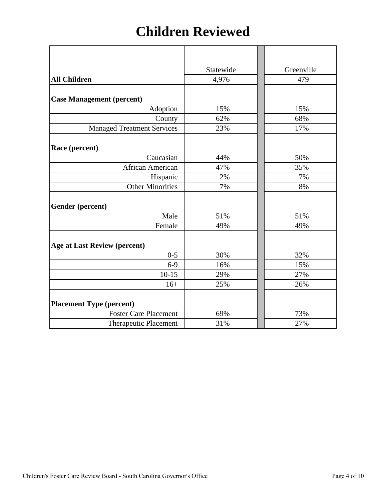## **Children Reviewed**

|                                     | Statewide | Greenville |
|-------------------------------------|-----------|------------|
| <b>All Children</b>                 | 4,976     | 479        |
| <b>Case Management (percent)</b>    |           |            |
| Adoption                            | 15%       | 15%        |
| County                              | 62%       | 68%        |
| <b>Managed Treatment Services</b>   | 23%       | 17%        |
|                                     |           |            |
| Race (percent)                      |           |            |
| Caucasian                           | 44%       | 50%        |
| African American                    | 47%       | 35%        |
| Hispanic                            | 2%        | 7%         |
| <b>Other Minorities</b>             | 7%        | 8%         |
| Gender (percent)                    |           |            |
| Male                                | 51%       | 51%        |
| Female                              | 49%       | 49%        |
| <b>Age at Last Review (percent)</b> |           |            |
| $0 - 5$                             | 30%       | 32%        |
| $6-9$                               | 16%       | 15%        |
| $10-15$                             | 29%       | 27%        |
| $16+$                               | 25%       | 26%        |
| <b>Placement Type (percent)</b>     |           |            |
| <b>Foster Care Placement</b>        | 69%       | 73%        |
| <b>Therapeutic Placement</b>        | 31%       | 27%        |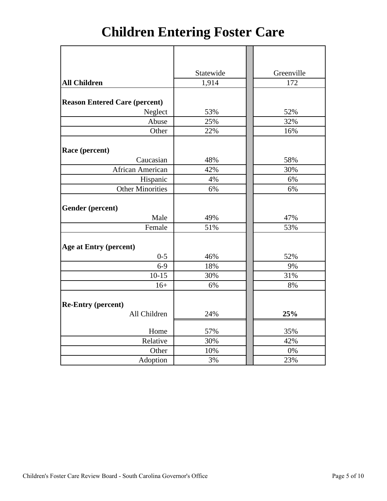# **Children Entering Foster Care**

|                                      | Statewide | Greenville |
|--------------------------------------|-----------|------------|
| <b>All Children</b>                  | 1,914     | 172        |
|                                      |           |            |
| <b>Reason Entered Care (percent)</b> |           |            |
| Neglect                              | 53%       | 52%        |
| Abuse                                | 25%       | 32%        |
| Other                                | 22%       | 16%        |
|                                      |           |            |
| Race (percent)                       |           |            |
| Caucasian                            | 48%       | 58%        |
| African American                     | 42%       | 30%        |
| Hispanic                             | 4%        | 6%         |
| <b>Other Minorities</b>              | 6%        | 6%         |
|                                      |           |            |
| Gender (percent)                     |           |            |
| Male                                 | 49%       | 47%        |
| Female                               | 51%       | 53%        |
|                                      |           |            |
| Age at Entry (percent)               |           |            |
| $0 - 5$                              | 46%       | 52%        |
| $6-9$                                | 18%       | 9%         |
| $10-15$                              | 30%       | 31%        |
| $16+$                                | 6%        | 8%         |
|                                      |           |            |
| <b>Re-Entry (percent)</b>            |           |            |
| All Children                         | 24%       | 25%        |
| Home                                 | 57%       | 35%        |
| Relative                             | 30%       | 42%        |
| Other                                | 10%       | 0%         |
| Adoption                             | 3%        | 23%        |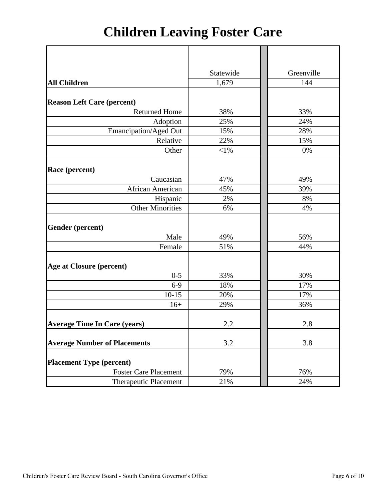# **Children Leaving Foster Care**

|                                     | Statewide | Greenville |
|-------------------------------------|-----------|------------|
| <b>All Children</b>                 | 1,679     | 144        |
|                                     |           |            |
| <b>Reason Left Care (percent)</b>   |           |            |
| <b>Returned Home</b>                | 38%       | 33%        |
| Adoption                            | 25%       | 24%        |
| Emancipation/Aged Out               | 15%       | 28%        |
| Relative                            | 22%       | 15%        |
| Other                               | $<$ 1%    | 0%         |
|                                     |           |            |
| Race (percent)                      |           |            |
| Caucasian                           | 47%       | 49%        |
| African American                    | 45%       | 39%        |
| Hispanic                            | 2%        | 8%         |
| <b>Other Minorities</b>             | 6%        | 4%         |
|                                     |           |            |
| Gender (percent)                    |           |            |
| Male                                | 49%       | 56%        |
| Female                              | 51%       | 44%        |
|                                     |           |            |
| <b>Age at Closure (percent)</b>     |           |            |
| $0 - 5$                             | 33%       | 30%        |
| $6-9$                               | 18%       | 17%        |
| $10 - 15$                           | 20%       | 17%        |
| $16+$                               | 29%       | 36%        |
|                                     |           |            |
| <b>Average Time In Care (years)</b> | 2.2       | 2.8        |
|                                     |           |            |
| <b>Average Number of Placements</b> | $3.2\,$   | 3.8        |
|                                     |           |            |
| <b>Placement Type (percent)</b>     |           |            |
| <b>Foster Care Placement</b>        | 79%       | 76%        |
| <b>Therapeutic Placement</b>        | 21%       | 24%        |
|                                     |           |            |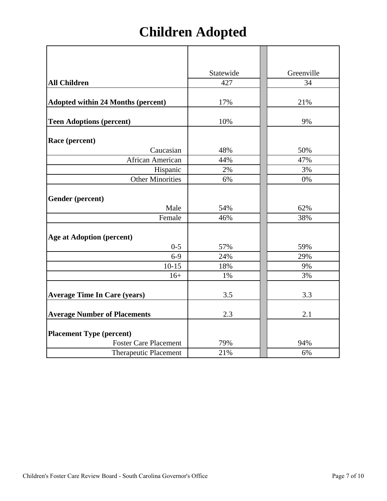# **Children Adopted**

|                                           | Statewide | Greenville |
|-------------------------------------------|-----------|------------|
| <b>All Children</b>                       | 427       | 34         |
|                                           |           |            |
| <b>Adopted within 24 Months (percent)</b> | 17%       | 21%        |
|                                           |           |            |
| <b>Teen Adoptions (percent)</b>           | 10%       | 9%         |
| Race (percent)                            |           |            |
| Caucasian                                 | 48%       | 50%        |
| African American                          | 44%       | 47%        |
| Hispanic                                  | 2%        | 3%         |
| <b>Other Minorities</b>                   | 6%        | 0%         |
| <b>Gender</b> (percent)                   |           |            |
| Male                                      | 54%       | 62%        |
| Female                                    | 46%       | 38%        |
| <b>Age at Adoption (percent)</b>          |           |            |
| $0 - 5$                                   | 57%       | 59%        |
| $6-9$                                     | 24%       | 29%        |
| $10-15$                                   | 18%       | 9%         |
| $16+$                                     | 1%        | 3%         |
| <b>Average Time In Care (years)</b>       | 3.5       | 3.3        |
| <b>Average Number of Placements</b>       | 2.3       | 2.1        |
| <b>Placement Type (percent)</b>           |           |            |
| <b>Foster Care Placement</b>              | 79%       | 94%        |
| <b>Therapeutic Placement</b>              | 21%       | 6%         |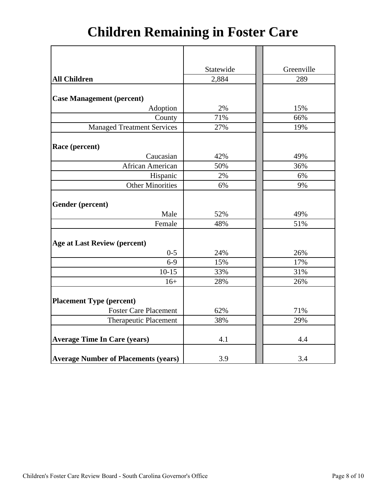# **Children Remaining in Foster Care**

|                                             | Statewide | Greenville |
|---------------------------------------------|-----------|------------|
| <b>All Children</b>                         | 2,884     | 289        |
|                                             |           |            |
| <b>Case Management (percent)</b>            |           |            |
| Adoption                                    | 2%        | 15%        |
| County                                      | 71%       | 66%        |
| <b>Managed Treatment Services</b>           | 27%       | 19%        |
|                                             |           |            |
| Race (percent)                              |           |            |
| Caucasian                                   | 42%       | 49%        |
| African American                            | 50%       | 36%        |
| Hispanic                                    | 2%        | 6%         |
| <b>Other Minorities</b>                     | 6%        | 9%         |
|                                             |           |            |
| Gender (percent)                            |           |            |
| Male                                        | 52%       | 49%        |
| Female                                      | 48%       | 51%        |
|                                             |           |            |
| <b>Age at Last Review (percent)</b>         |           |            |
| $0 - 5$                                     | 24%       | 26%        |
| $6 - 9$                                     | 15%       | 17%        |
| $10 - 15$                                   | 33%       | 31%        |
| $16+$                                       | 28%       | 26%        |
|                                             |           |            |
| <b>Placement Type (percent)</b>             |           |            |
| <b>Foster Care Placement</b>                | 62%       | 71%        |
| <b>Therapeutic Placement</b>                | 38%       | 29%        |
|                                             |           |            |
| <b>Average Time In Care (years)</b>         | 4.1       | 4.4        |
|                                             |           |            |
| <b>Average Number of Placements (years)</b> | 3.9       | 3.4        |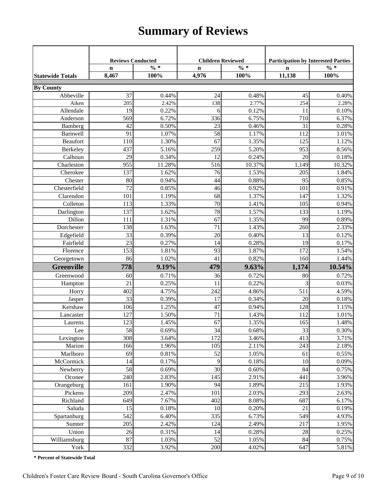## **Summary of Reviews**

|                         | <b>Reviews Conducted</b> |                 |                 | <b>Children Reviewed</b> |             | <b>Participation by Interested Parties</b> |  |
|-------------------------|--------------------------|-----------------|-----------------|--------------------------|-------------|--------------------------------------------|--|
|                         | $\mathbf n$              | $\frac{0}{6}$ * | $\mathbf n$     | $\% *$                   | $\mathbf n$ | $\frac{6}{10}$                             |  |
| <b>Statewide Totals</b> | 8,467                    | 100%            | 4,976           | 100%                     | 11,138      | 100%                                       |  |
| <b>By County</b>        |                          |                 |                 |                          |             |                                            |  |
| Abbeville               | 37                       | 0.44%           | 24              | 0.48%                    | 45          | 0.40%                                      |  |
| Aiken                   | 205                      | 2.42%           | 138             | 2.77%                    | 254         | 2.28%                                      |  |
| Allendale               | 19                       | 0.22%           | 6               | 0.12%                    | 11          | 0.10%                                      |  |
| Anderson                | 569                      | 6.72%           | 336             | 6.75%                    | 710         | 6.37%                                      |  |
| Bamberg                 | 42                       | 0.50%           | 23              | 0.46%                    | 31          | 0.28%                                      |  |
| Barnwell                | 91                       | 1.07%           | 58              | 1.17%                    | 112         | 1.01%                                      |  |
| <b>Beaufort</b>         | 110                      | 1.30%           | 67              | 1.35%                    | 125         | 1.12%                                      |  |
| Berkeley                | 437                      | 5.16%           | 259             | 5.20%                    | 953         | 8.56%                                      |  |
| Calhoun                 | 29                       | 0.34%           | 12              | 0.24%                    | 20          | 0.18%                                      |  |
| Charleston              | 955                      | 11.28%          | 516             | 10.37%                   | 1,149       | 10.32%                                     |  |
| Cherokee                | 137                      | 1.62%           | 76              | 1.53%                    | 205         | 1.84%                                      |  |
| Chester                 | 80                       | 0.94%           | 44              | 0.88%                    | 95          | 0.85%                                      |  |
| Chesterfield            | 72                       | 0.85%           | 46              | 0.92%                    | 101         | 0.91%                                      |  |
| Clarendon               | 101                      | 1.19%           | 68              | 1.37%                    | 147         | 1.32%                                      |  |
| Colleton                | 113                      | 1.33%           | 70              | 1.41%                    | 105         | 0.94%                                      |  |
| Darlington              | 137                      | 1.62%           | 78              | 1.57%                    | 133         | 1.19%                                      |  |
| Dillon                  | 111                      | 1.31%           | 67              | 1.35%                    | 99          | 0.89%                                      |  |
| Dorchester              | 138                      | 1.63%           | 71              | 1.43%                    | 260         | 2.33%                                      |  |
| Edgefield               | 33                       | 0.39%           | 20              | 0.40%                    | 13          | 0.12%                                      |  |
| Fairfield               | 23                       | 0.27%           | 14              | 0.28%                    | 19          | 0.17%                                      |  |
| Florence                | 153                      | 1.81%           | 93              | 1.87%                    | 172         | 1.54%                                      |  |
| Georgetown              | 86                       | 1.02%           | 41              | 0.82%                    | 160         | 1.44%                                      |  |
| <b>Greenville</b>       | 778                      | 9.19%           | 479             | 9.63%                    | 1,174       | 10.54%                                     |  |
| Greenwood               | 60                       | 0.71%           | 36              | 0.72%                    | 80          | 0.72%                                      |  |
| Hampton                 | 21                       | 0.25%           | 11              | 0.22%                    | 3           | 0.03%                                      |  |
| Horry                   | 402                      | 4.75%           | 242             | 4.86%                    | 511         | 4.59%                                      |  |
| Jasper                  | 33                       | 0.39%           | 17              | 0.34%                    | 20          | 0.18%                                      |  |
| Kershaw                 | 106                      | 1.25%           | 47              | 0.94%                    | 128         | 1.15%                                      |  |
| Lancaster               | 127                      | 1.50%           | $\overline{71}$ | 1.43%                    | 112         | 1.01%                                      |  |
| Laurens                 | 123                      | 1.45%           | 67              | 1.35%                    | 165         | 1.48%                                      |  |
| Lee                     | 58                       | 0.69%           | 34              | 0.68%                    | 33          | $0.30\%$                                   |  |
| Lexington               | 308                      | 3.64%           | 172             | 3.46%                    | 413         | 3.71%                                      |  |
| Marion                  | 166                      | 1.96%           | 105             | 2.11%                    | 243         | 2.18%                                      |  |
| Marlboro                | 69                       | 0.81%           | 52              | 1.05%                    | 61          | 0.55%                                      |  |
| McCormick               | 14                       | 0.17%           | $\overline{9}$  | 0.18%                    | 10          | 0.09%                                      |  |
| Newberry                | 58                       | 0.69%           | 30              | 0.60%                    | 84          | 0.75%                                      |  |
| Oconee                  | 240                      | 2.83%           | 145             | 2.91%                    | 441         | 3.96%                                      |  |
| Orangeburg              | 161                      | 1.90%           | 94              | 1.89%                    | 215         | 1.93%                                      |  |
| Pickens                 | 209                      | 2.47%           | 101             | 2.03%                    | 293         | 2.63%                                      |  |
| Richland                | 649                      | 7.67%           | 402             | 8.08%                    | 687         | 6.17%                                      |  |
| Saluda                  | 15                       | 0.18%           | 10              | 0.20%                    | 21          | 0.19%                                      |  |
| Spartanburg             | 542                      | 6.40%           | 335             | 6.73%                    | 549         | 4.93%                                      |  |
| Sumter                  | 205                      | 2.42%           | 124             | 2.49%                    | 217         | 1.95%                                      |  |
| Union                   | 26                       | 0.31%           | 14              | 0.28%                    | 28          | 0.25%                                      |  |
| Williamsburg            | 87                       | 1.03%           | 52              | 1.05%                    | 84          | 0.75%                                      |  |
| York                    | 332                      | 3.92%           | 200             | 4.02%                    | 647         | 5.81%                                      |  |

**\* Percent of Statewide Total**